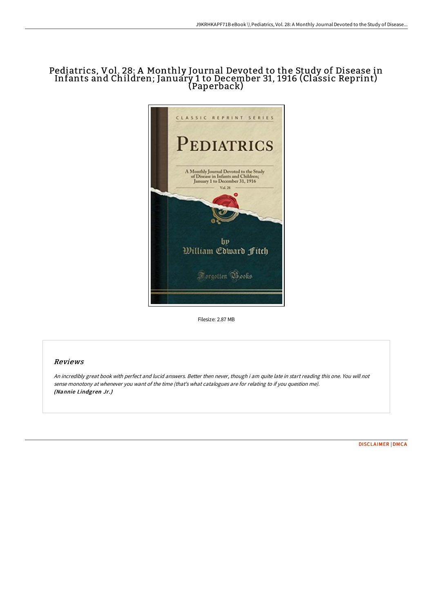## Pediatrics, Vol. 28: A Monthly Journal Devoted to the Study of Disease in Infants and Children; January 1 to December 31, 1916 (Classic Reprint) (Paperback)



Filesize: 2.87 MB

## Reviews

An incredibly great book with perfect and lucid answers. Better then never, though i am quite late in start reading this one. You will not sense monotony at whenever you want of the time (that's what catalogues are for relating to if you question me). (Nannie Lindgren Jr.)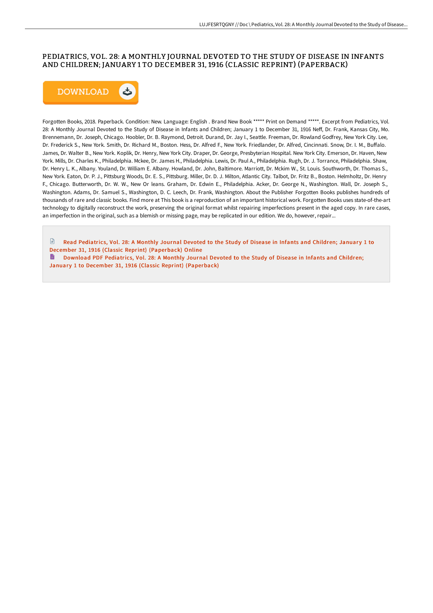## PEDIATRICS, VOL. 28: A MONTHLY JOURNAL DEVOTED TO THE STUDY OF DISEASE IN INFANTS AND CHILDREN; JANUARY 1 TO DECEMBER 31, 1916 (CLASSIC REPRINT) (PAPERBACK)



Forgotten Books, 2018. Paperback. Condition: New. Language: English . Brand New Book \*\*\*\*\* Print on Demand \*\*\*\*\*. Excerpt from Pediatrics, Vol. 28: A Monthly Journal Devoted to the Study of Disease in Infants and Children; January 1 to December 31, 1916 Neff, Dr. Frank, Kansas City, Mo. Brennemann, Dr. Joseph, Chicago. Hoobler, Dr. B. Raymond, Detroit. Durand, Dr. Jay I., Seattle. Freeman, Dr. Rowland Godfrey, New York City. Lee, Dr. Frederick S., New York. Smith, Dr. Richard M., Boston. Hess, Dr. Alfred F., New York. Friedlander, Dr. Alfred, Cincinnati. Snow, Dr. I. M., Buffalo. James, Dr. Walter B., New York. Koplik, Dr. Henry, New York City. Draper, Dr. George, Presbyterian Hospital. New York City. Emerson, Dr. Haven, New York. Mills, Dr. Charles K., Philadelphia. Mckee, Dr. James H., Philadelphia. Lewis, Dr. Paul A., Philadelphia. Rugh, Dr. J. Torrance, Philadelphia. Shaw, Dr. Henry L. K., Albany. Youland, Dr. William E. Albany. Howland, Dr. John, Baltimore. Marriott, Dr. Mckim W., St. Louis. Southworth, Dr. Thomas S., New York. Eaton, Dr. P. J., Pittsburg Woods, Dr. E. S., Pittsburg. Miller, Dr. D. J. Milton, Atlantic City. Talbot, Dr. Fritz B., Boston. Helmholtz, Dr. Henry F., Chicago. Butterworth, Dr. W. W., New Or leans. Graham, Dr. Edwin E., Philadelphia. Acker, Dr. George N., Washington. Wall, Dr. Joseph S., Washington. Adams, Dr. Samuel S., Washington, D. C. Leech, Dr. Frank, Washington. About the Publisher Forgotten Books publishes hundreds of thousands of rare and classic books. Find more at This book is a reproduction of an important historical work. Forgotten Books uses state-of-the-art technology to digitally reconstruct the work, preserving the original format whilst repairing imperfections present in the aged copy. In rare cases, an imperfection in the original, such as a blemish or missing page, may be replicated in our edition. We do, however, repair...

- $\mathbb{R}$ Read Pediatrics, Vol. 28: A Monthly Journal Devoted to the Study of Disease in Infants and Children; January 1 to December 31, 1916 (Classic Reprint) [\(Paperback\)](http://albedo.media/pediatrics-vol-28-a-monthly-journal-devoted-to-t.html) Online
- Download PDF Pediatrics, Vol. 28: A Monthly Journal Devoted to the Study of Disease in Infants and Children; January 1 to December 31, 1916 (Classic Reprint) [\(Paperback\)](http://albedo.media/pediatrics-vol-28-a-monthly-journal-devoted-to-t.html)